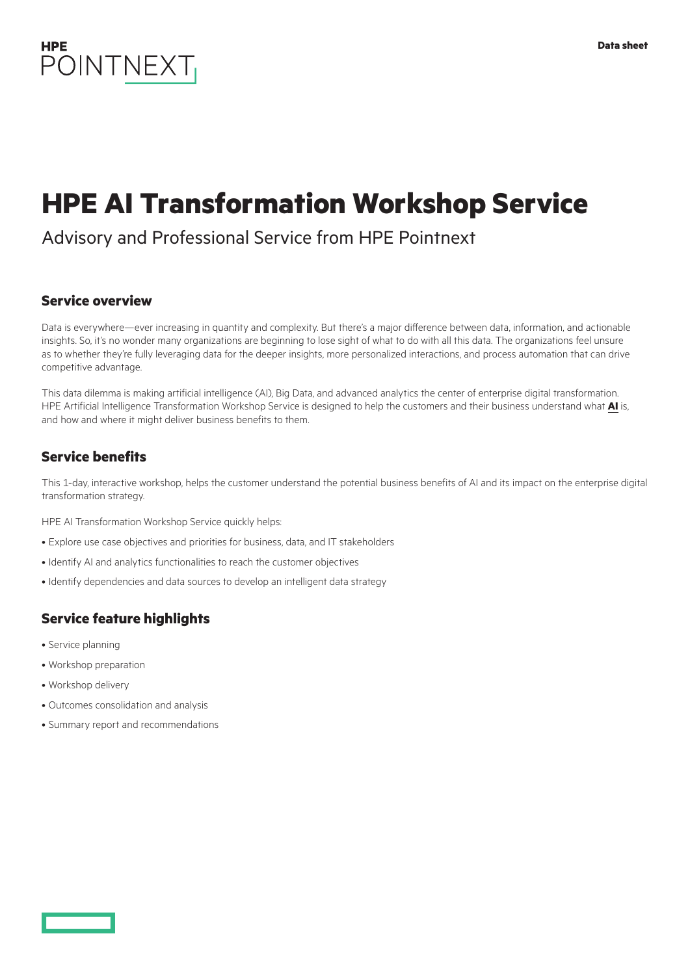

# **HPE AI Transformation Workshop Service**

# Advisory and Professional Service from HPE Pointnext

# **Service overview**

Data is everywhere—ever increasing in quantity and complexity. But there's a major difference between data, information, and actionable insights. So, it's no wonder many organizations are beginning to lose sight of what to do with all this data. The organizations feel unsure as to whether they're fully leveraging data for the deeper insights, more personalized interactions, and process automation that can drive competitive advantage.

This data dilemma is making artificial intelligence (AI), Big Data, and advanced analytics the center of enterprise digital transformation. HPE Artificial Intelligence Transformation Workshop Service is designed to help the customers and their business understand what **[AI](https://www.hpe.com/services/actionableintelligence)** is, and how and where it might deliver business benefits to them.

# **Service benefits**

This 1-day, interactive workshop, helps the customer understand the potential business benefits of AI and its impact on the enterprise digital transformation strategy.

HPE AI Transformation Workshop Service quickly helps:

- Explore use case objectives and priorities for business, data, and IT stakeholders
- Identify AI and analytics functionalities to reach the customer objectives
- Identify dependencies and data sources to develop an intelligent data strategy

# **Service feature highlights**

- Service planning
- Workshop preparation
- Workshop delivery
- Outcomes consolidation and analysis
- Summary report and recommendations

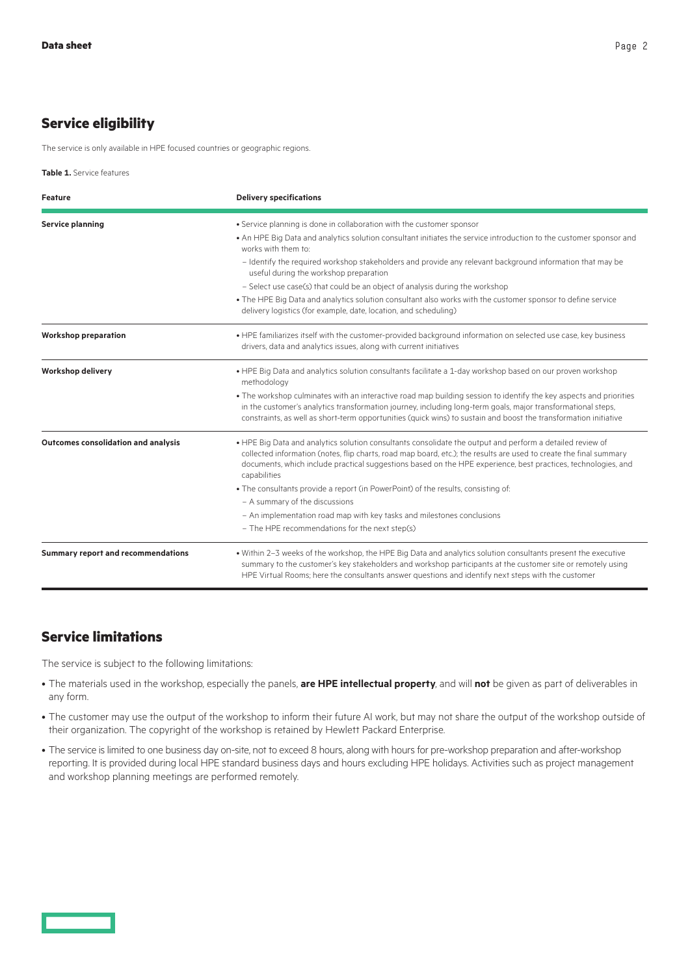# **Service eligibility**

The service is only available in HPE focused countries or geographic regions.

**Table 1.** Service features

| <b>Feature</b>                            | <b>Delivery specifications</b>                                                                                                                                                                                                                                                                                                                                   |
|-------------------------------------------|------------------------------------------------------------------------------------------------------------------------------------------------------------------------------------------------------------------------------------------------------------------------------------------------------------------------------------------------------------------|
| <b>Service planning</b>                   | • Service planning is done in collaboration with the customer sponsor                                                                                                                                                                                                                                                                                            |
|                                           | . An HPE Big Data and analytics solution consultant initiates the service introduction to the customer sponsor and<br>works with them to:                                                                                                                                                                                                                        |
|                                           | - Identify the required workshop stakeholders and provide any relevant background information that may be<br>useful during the workshop preparation                                                                                                                                                                                                              |
|                                           | - Select use case(s) that could be an object of analysis during the workshop                                                                                                                                                                                                                                                                                     |
|                                           | . The HPE Big Data and analytics solution consultant also works with the customer sponsor to define service<br>delivery logistics (for example, date, location, and scheduling)                                                                                                                                                                                  |
| <b>Workshop preparation</b>               | . HPE familiarizes itself with the customer-provided background information on selected use case, key business<br>drivers, data and analytics issues, along with current initiatives                                                                                                                                                                             |
| <b>Workshop delivery</b>                  | • HPE Big Data and analytics solution consultants facilitate a 1-day workshop based on our proven workshop<br>methodology                                                                                                                                                                                                                                        |
|                                           | . The workshop culminates with an interactive road map building session to identify the key aspects and priorities<br>in the customer's analytics transformation journey, including long-term goals, major transformational steps,<br>constraints, as well as short-term opportunities (quick wins) to sustain and boost the transformation initiative           |
| Outcomes consolidation and analysis       | . HPE Big Data and analytics solution consultants consolidate the output and perform a detailed review of<br>collected information (notes, flip charts, road map board, etc.); the results are used to create the final summary<br>documents, which include practical suggestions based on the HPE experience, best practices, technologies, and<br>capabilities |
|                                           | . The consultants provide a report (in PowerPoint) of the results, consisting of:                                                                                                                                                                                                                                                                                |
|                                           | - A summary of the discussions                                                                                                                                                                                                                                                                                                                                   |
|                                           | - An implementation road map with key tasks and milestones conclusions                                                                                                                                                                                                                                                                                           |
|                                           | - The HPE recommendations for the next step(s)                                                                                                                                                                                                                                                                                                                   |
| <b>Summary report and recommendations</b> | . Within 2-3 weeks of the workshop, the HPE Big Data and analytics solution consultants present the executive<br>summary to the customer's key stakeholders and workshop participants at the customer site or remotely using<br>HPE Virtual Rooms; here the consultants answer questions and identify next steps with the customer                               |

#### **Service limitations**

The service is subject to the following limitations:

- The materials used in the workshop, especially the panels, **are HPE intellectual property**, and will **not** be given as part of deliverables in any form.
- The customer may use the output of the workshop to inform their future AI work, but may not share the output of the workshop outside of their organization. The copyright of the workshop is retained by Hewlett Packard Enterprise.
- The service is limited to one business day on-site, not to exceed 8 hours, along with hours for pre-workshop preparation and after-workshop reporting. It is provided during local HPE standard business days and hours excluding HPE holidays. Activities such as project management and workshop planning meetings are performed remotely.

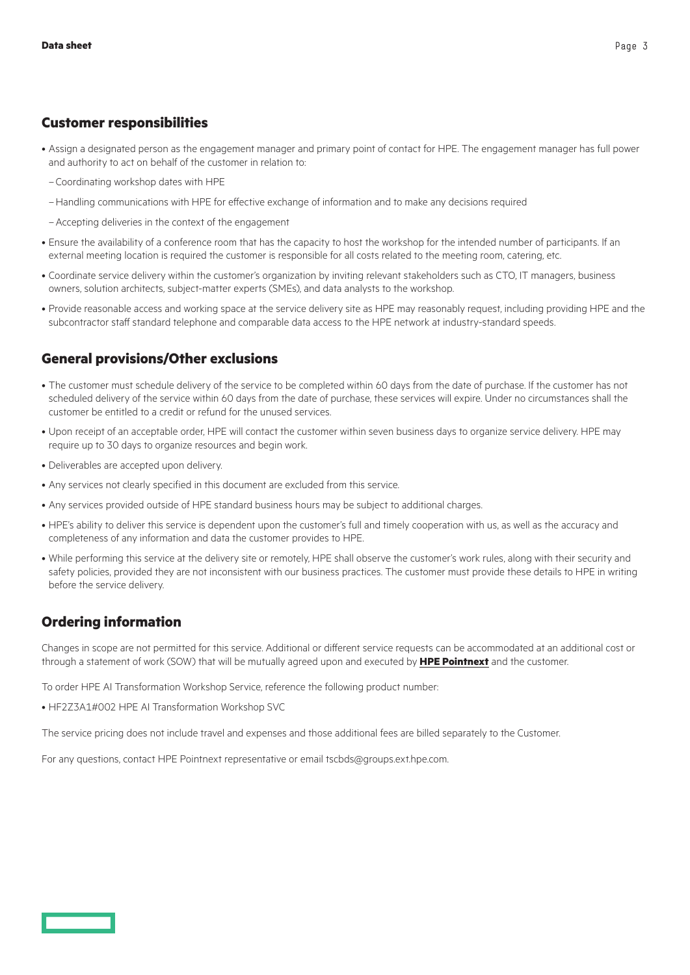#### **Customer responsibilities**

- Assign a designated person as the engagement manager and primary point of contact for HPE. The engagement manager has full power and authority to act on behalf of the customer in relation to:
	- –Coordinating workshop dates with HPE
	- –Handling communications with HPE for effective exchange of information and to make any decisions required
	- –Accepting deliveries in the context of the engagement
- Ensure the availability of a conference room that has the capacity to host the workshop for the intended number of participants. If an external meeting location is required the customer is responsible for all costs related to the meeting room, catering, etc.
- Coordinate service delivery within the customer's organization by inviting relevant stakeholders such as CTO, IT managers, business owners, solution architects, subject-matter experts (SMEs), and data analysts to the workshop.
- Provide reasonable access and working space at the service delivery site as HPE may reasonably request, including providing HPE and the subcontractor staff standard telephone and comparable data access to the HPE network at industry-standard speeds.

# **General provisions/Other exclusions**

- The customer must schedule delivery of the service to be completed within 60 days from the date of purchase. If the customer has not scheduled delivery of the service within 60 days from the date of purchase, these services will expire. Under no circumstances shall the customer be entitled to a credit or refund for the unused services.
- Upon receipt of an acceptable order, HPE will contact the customer within seven business days to organize service delivery. HPE may require up to 30 days to organize resources and begin work.
- Deliverables are accepted upon delivery.
- Any services not clearly specified in this document are excluded from this service.
- Any services provided outside of HPE standard business hours may be subject to additional charges.
- HPE's ability to deliver this service is dependent upon the customer's full and timely cooperation with us, as well as the accuracy and completeness of any information and data the customer provides to HPE.
- While performing this service at the delivery site or remotely, HPE shall observe the customer's work rules, along with their security and safety policies, provided they are not inconsistent with our business practices. The customer must provide these details to HPE in writing before the service delivery.

# **Ordering information**

Changes in scope are not permitted for this service. Additional or different service requests can be accommodated at an additional cost or through a statement of work (SOW) that will be mutually agreed upon and executed by **[HPE Pointnext](https://www.hpe.com/info/pointnext)** and the customer.

To order HPE AI Transformation Workshop Service, reference the following product number:

• HF2Z3A1#002 HPE AI Transformation Workshop SVC

The service pricing does not include travel and expenses and those additional fees are billed separately to the Customer.

For any questions, contact HPE Pointnext representative or email tscbds@groups.ext.hpe.com.